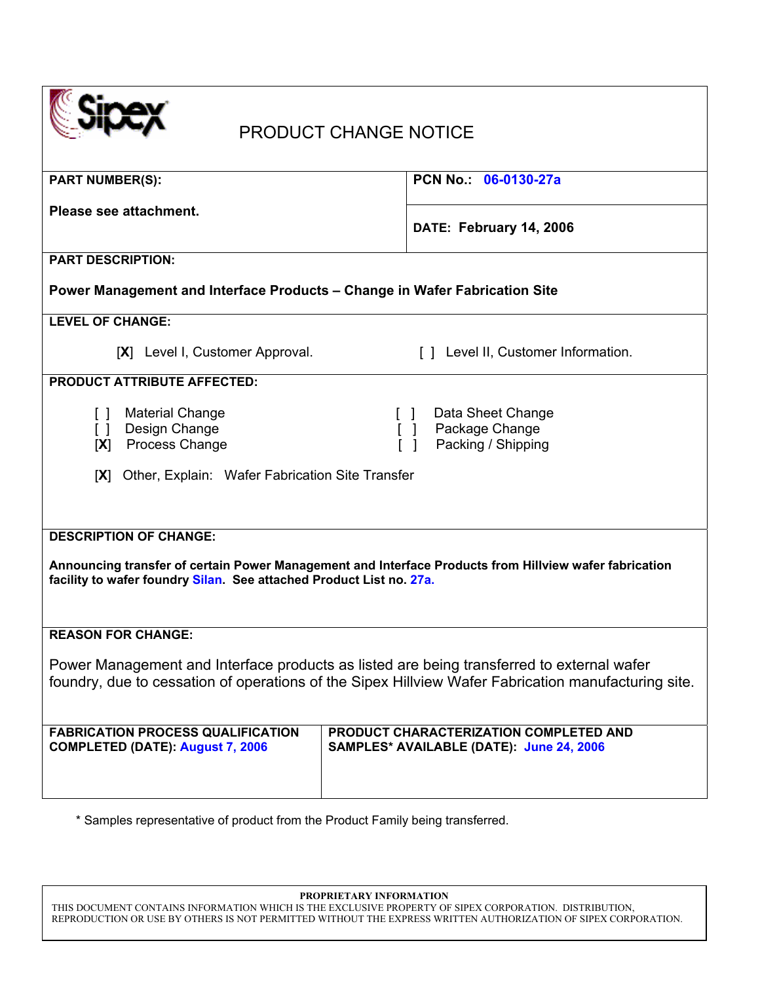| <b>PRODUCT CHANGE NOTICE</b>                                                                                                                                                                                   |  |  |  |
|----------------------------------------------------------------------------------------------------------------------------------------------------------------------------------------------------------------|--|--|--|
| PCN No. 06-0130-27a                                                                                                                                                                                            |  |  |  |
| DATE: February 14, 2006                                                                                                                                                                                        |  |  |  |
|                                                                                                                                                                                                                |  |  |  |
| Power Management and Interface Products - Change in Wafer Fabrication Site                                                                                                                                     |  |  |  |
|                                                                                                                                                                                                                |  |  |  |
| [] Level II, Customer Information.                                                                                                                                                                             |  |  |  |
|                                                                                                                                                                                                                |  |  |  |
| Data Sheet Change<br>Package Change<br>Packing / Shipping                                                                                                                                                      |  |  |  |
| Other, Explain: Wafer Fabrication Site Transfer<br> X                                                                                                                                                          |  |  |  |
| <b>DESCRIPTION OF CHANGE:</b><br>Announcing transfer of certain Power Management and Interface Products from Hillview wafer fabrication<br>facility to wafer foundry Silan. See attached Product List no. 27a. |  |  |  |
|                                                                                                                                                                                                                |  |  |  |
| Power Management and Interface products as listed are being transferred to external wafer<br>foundry, due to cessation of operations of the Sipex Hillview Wafer Fabrication manufacturing site.               |  |  |  |
| PRODUCT CHARACTERIZATION COMPLETED AND<br>SAMPLES* AVAILABLE (DATE): June 24, 2006                                                                                                                             |  |  |  |
|                                                                                                                                                                                                                |  |  |  |

\* Samples representative of product from the Product Family being transferred.

**PROPRIETARY INFORMATION** 

THIS DOCUMENT CONTAINS INFORMATION WHICH IS THE EXCLUSIVE PROPERTY OF SIPEX CORPORATION. DISTRIBUTION, REPRODUCTION OR USE BY OTHERS IS NOT PERMITTED WITHOUT THE EXPRESS WRITTEN AUTHORIZATION OF SIPEX CORPORATION.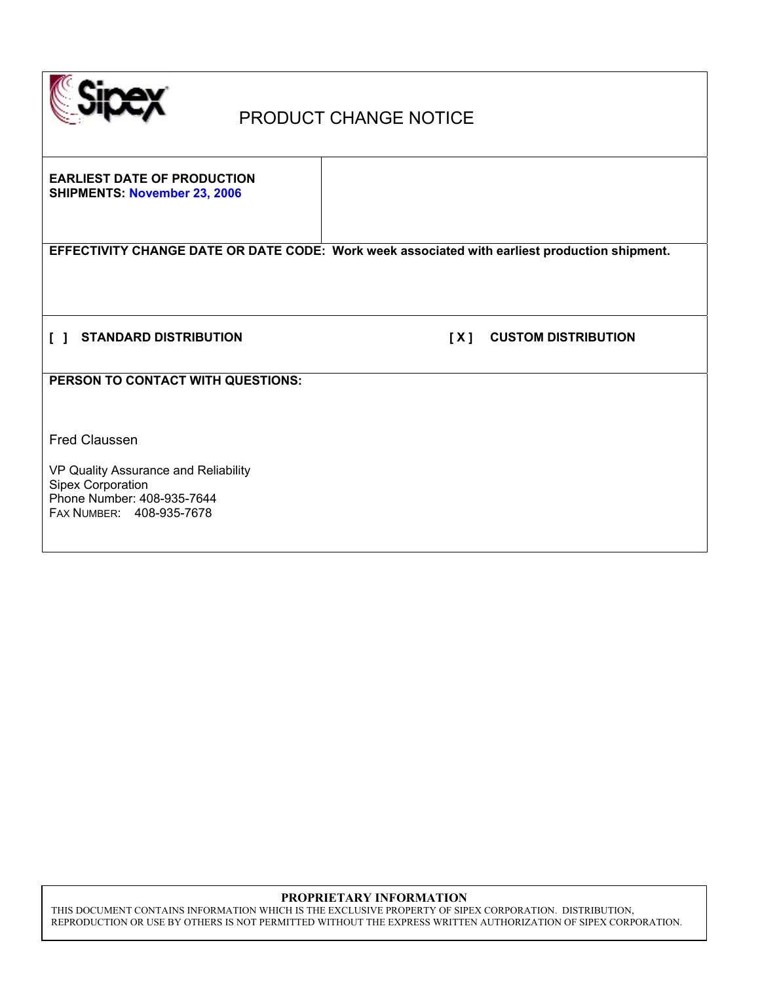

# PRODUCT CHANGE NOTICE

**EARLIEST DATE OF PRODUCTION SHIPMENTS: November 23, 2006** 

**EFFECTIVITY CHANGE DATE OR DATE CODE: Work week associated with earliest production shipment.** 

**[ ] STANDARD DISTRIBUTION [ X ] CUSTOM DISTRIBUTION** 

**PERSON TO CONTACT WITH QUESTIONS:** 

Fred Claussen

VP Quality Assurance and Reliability Sipex Corporation Phone Number: 408-935-7644 FAX NUMBER: 408-935-7678

### **PROPRIETARY INFORMATION**

THIS DOCUMENT CONTAINS INFORMATION WHICH IS THE EXCLUSIVE PROPERTY OF SIPEX CORPORATION. DISTRIBUTION, REPRODUCTION OR USE BY OTHERS IS NOT PERMITTED WITHOUT THE EXPRESS WRITTEN AUTHORIZATION OF SIPEX CORPORATION.